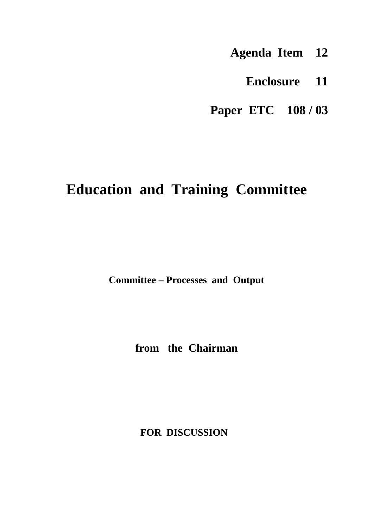- **Agenda Item 12**
	- **Enclosure 11**
- **Paper ETC 108 / 03**

# **Education and Training Committee**

**Committee – Processes and Output**

**from the Chairman**

**FOR DISCUSSION**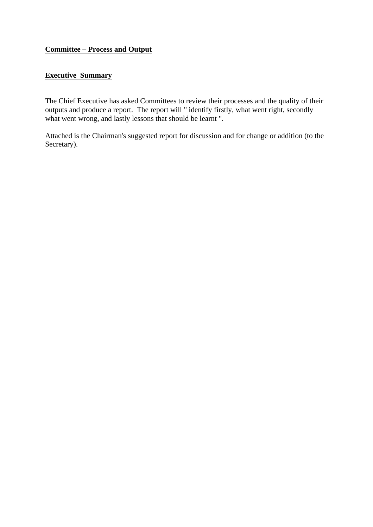# **Committee – Process and Output**

# **Executive Summary**

The Chief Executive has asked Committees to review their processes and the quality of their outputs and produce a report. The report will " identify firstly, what went right, secondly what went wrong, and lastly lessons that should be learnt ".

Attached is the Chairman's suggested report for discussion and for change or addition (to the Secretary).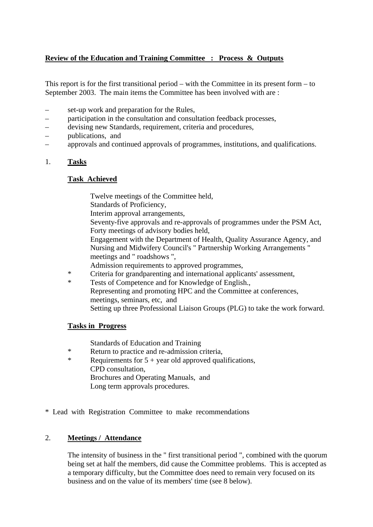# **Review of the Education and Training Committee : Process & Outputs**

This report is for the first transitional period – with the Committee in its present form – to September 2003. The main items the Committee has been involved with are :

- set-up work and preparation for the Rules,
- participation in the consultation and consultation feedback processes,
- devising new Standards, requirement, criteria and procedures,
- publications, and
- approvals and continued approvals of programmes, institutions, and qualifications.
- 1. **Tasks**

#### **Task Achieved**

Twelve meetings of the Committee held,

Standards of Proficiency,

Interim approval arrangements,

Seventy-five approvals and re-approvals of programmes under the PSM Act, Forty meetings of advisory bodies held,

Engagement with the Department of Health, Quality Assurance Agency, and Nursing and Midwifery Council's " Partnership Working Arrangements " meetings and " roadshows ",

Admission requirements to approved programmes,

- \* Criteria for grandparenting and international applicants' assessment,<br>
\* Tests of Competence and for Knowledge of English
- Tests of Competence and for Knowledge of English., Representing and promoting HPC and the Committee at conferences, meetings, seminars, etc, and Setting up three Professional Liaison Groups (PLG) to take the work forward.

## **Tasks in Progress**

Standards of Education and Training

- \* Return to practice and re-admission criteria,<br>Requirements for 5 + year old approved qual-
- Requirements for  $5 +$  year old approved qualifications, CPD consultation, Brochures and Operating Manuals, and Long term approvals procedures.

\* Lead with Registration Committee to make recommendations

## 2. **Meetings / Attendance**

The intensity of business in the " first transitional period ", combined with the quorum being set at half the members, did cause the Committee problems. This is accepted as a temporary difficulty, but the Committee does need to remain very focused on its business and on the value of its members' time (see 8 below).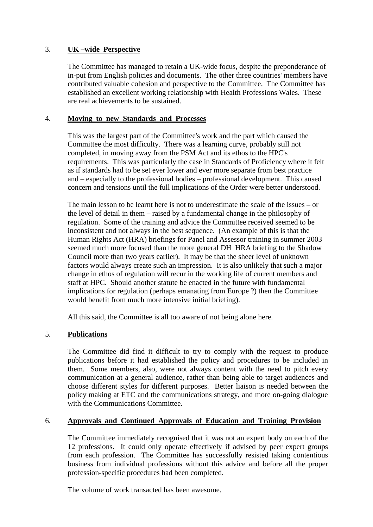## 3. **UK –wide Perspective**

The Committee has managed to retain a UK-wide focus, despite the preponderance of in-put from English policies and documents. The other three countries' members have contributed valuable cohesion and perspective to the Committee. The Committee has established an excellent working relationship with Health Professions Wales. These are real achievements to be sustained.

#### 4. **Moving to new Standards and Processes**

This was the largest part of the Committee's work and the part which caused the Committee the most difficulty. There was a learning curve, probably still not completed, in moving away from the PSM Act and its ethos to the HPC's requirements. This was particularly the case in Standards of Proficiency where it felt as if standards had to be set ever lower and ever more separate from best practice and – especially to the professional bodies – professional development. This caused concern and tensions until the full implications of the Order were better understood.

The main lesson to be learnt here is not to underestimate the scale of the issues – or the level of detail in them – raised by a fundamental change in the philosophy of regulation. Some of the training and advice the Committee received seemed to be inconsistent and not always in the best sequence. (An example of this is that the Human Rights Act (HRA) briefings for Panel and Assessor training in summer 2003 seemed much more focused than the more general DH HRA briefing to the Shadow Council more than two years earlier). It may be that the sheer level of unknown factors would always create such an impression. It is also unlikely that such a major change in ethos of regulation will recur in the working life of current members and staff at HPC. Should another statute be enacted in the future with fundamental implications for regulation (perhaps emanating from Europe ?) then the Committee would benefit from much more intensive initial briefing).

All this said, the Committee is all too aware of not being alone here.

## 5. **Publications**

The Committee did find it difficult to try to comply with the request to produce publications before it had established the policy and procedures to be included in them. Some members, also, were not always content with the need to pitch every communication at a general audience, rather than being able to target audiences and choose different styles for different purposes. Better liaison is needed between the policy making at ETC and the communications strategy, and more on-going dialogue with the Communications Committee.

# 6. **Approvals and Continued Approvals of Education and Training Provision**

The Committee immediately recognised that it was not an expert body on each of the 12 professions. It could only operate effectively if advised by peer expert groups from each profession. The Committee has successfully resisted taking contentious business from individual professions without this advice and before all the proper profession-specific procedures had been completed.

The volume of work transacted has been awesome.